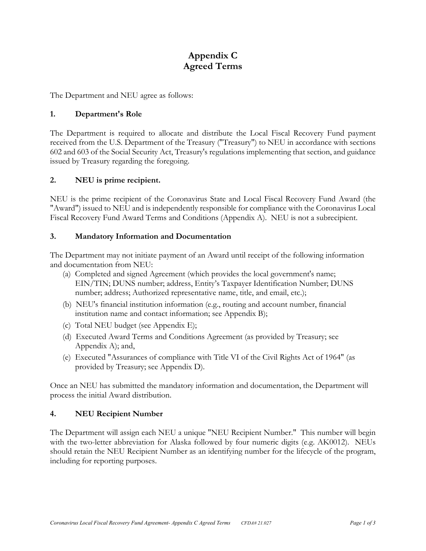# **Appendix C Agreed Terms**

The Department and NEU agree as follows:

# **1. Department's Role**

The Department is required to allocate and distribute the Local Fiscal Recovery Fund payment received from the U.S. Department of the Treasury ("Treasury") to NEU in accordance with sections 602 and 603 of the Social Security Act, Treasury's regulations implementing that section, and guidance issued by Treasury regarding the foregoing.

## **2. NEU is prime recipient.**

NEU is the prime recipient of the Coronavirus State and Local Fiscal Recovery Fund Award (the "Award") issued to NEU and is independently responsible for compliance with the Coronavirus Local Fiscal Recovery Fund Award Terms and Conditions (Appendix A). NEU is not a subrecipient.

#### **3. Mandatory Information and Documentation**

The Department may not initiate payment of an Award until receipt of the following information and documentation from NEU:

- (a) Completed and signed Agreement (which provides the local government's name; EIN/TIN; DUNS number; address, Entity's Taxpayer Identification Number; DUNS number; address; Authorized representative name, title, and email, etc.);
- (b) NEU's financial institution information (e.g., routing and account number, financial institution name and contact information; see Appendix B);
- (c) Total NEU budget (see Appendix E);
- (d) Executed Award Terms and Conditions Agreement (as provided by Treasury; see Appendix A); and,
- (e) Executed "Assurances of compliance with Title VI of the Civil Rights Act of 1964" (as provided by Treasury; see Appendix D).

Once an NEU has submitted the mandatory information and documentation, the Department will process the initial Award distribution.

#### **4. NEU Recipient Number**

The Department will assign each NEU a unique "NEU Recipient Number." This number will begin with the two-letter abbreviation for Alaska followed by four numeric digits (e.g. AK0012). NEUs should retain the NEU Recipient Number as an identifying number for the lifecycle of the program, including for reporting purposes.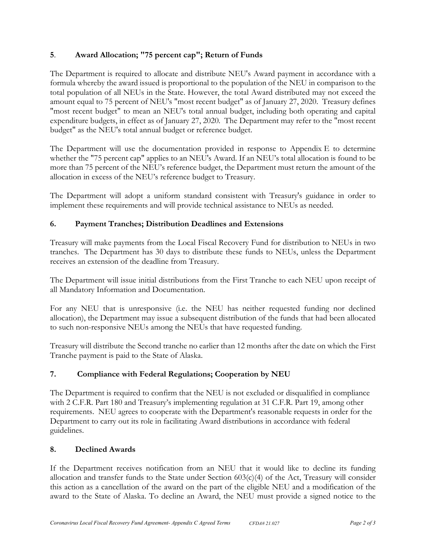# **5**. **Award Allocation; "75 percent cap"; Return of Funds**

The Department is required to allocate and distribute NEU's Award payment in accordance with a formula whereby the award issued is proportional to the population of the NEU in comparison to the total population of all NEUs in the State. However, the total Award distributed may not exceed the amount equal to 75 percent of NEU's "most recent budget" as of January 27, 2020. Treasury defines "most recent budget" to mean an NEU's total annual budget, including both operating and capital expenditure budgets, in effect as of January 27, 2020. The Department may refer to the "most recent budget" as the NEU's total annual budget or reference budget.

The Department will use the documentation provided in response to Appendix E to determine whether the "75 percent cap" applies to an NEU's Award. If an NEU's total allocation is found to be more than 75 percent of the NEU's reference budget, the Department must return the amount of the allocation in excess of the NEU's reference budget to Treasury.

The Department will adopt a uniform standard consistent with Treasury's guidance in order to implement these requirements and will provide technical assistance to NEUs as needed.

# **6. Payment Tranches; Distribution Deadlines and Extensions**

Treasury will make payments from the Local Fiscal Recovery Fund for distribution to NEUs in two tranches. The Department has 30 days to distribute these funds to NEUs, unless the Department receives an extension of the deadline from Treasury.

The Department will issue initial distributions from the First Tranche to each NEU upon receipt of all Mandatory Information and Documentation.

For any NEU that is unresponsive (i.e. the NEU has neither requested funding nor declined allocation), the Department may issue a subsequent distribution of the funds that had been allocated to such non-responsive NEUs among the NEUs that have requested funding.

Treasury will distribute the Second tranche no earlier than 12 months after the date on which the First Tranche payment is paid to the State of Alaska.

# **7. Compliance with Federal Regulations; Cooperation by NEU**

The Department is required to confirm that the NEU is not excluded or disqualified in compliance with 2 C.F.R. Part 180 and Treasury's implementing regulation at 31 C.F.R. Part 19, among other requirements. NEU agrees to cooperate with the Department's reasonable requests in order for the Department to carry out its role in facilitating Award distributions in accordance with federal guidelines.

# **8. Declined Awards**

If the Department receives notification from an NEU that it would like to decline its funding allocation and transfer funds to the State under Section  $603(c)(4)$  of the Act, Treasury will consider this action as a cancellation of the award on the part of the eligible NEU and a modification of the award to the State of Alaska. To decline an Award, the NEU must provide a signed notice to the